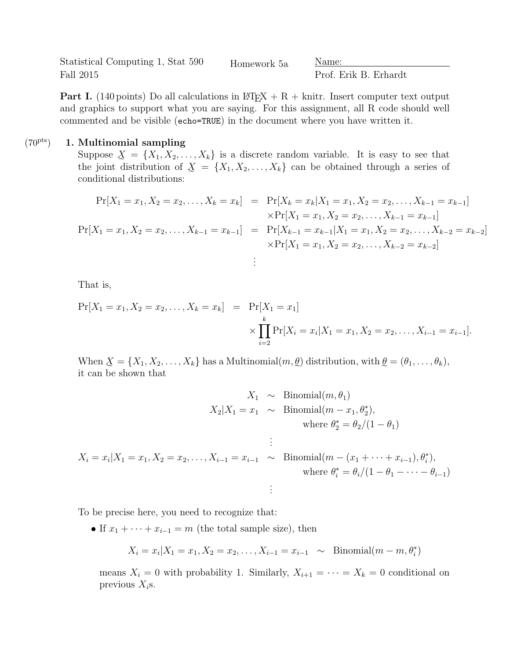Statistical Computing 1, Stat 590 Fall 2015 Homework 5a Name:

Prof. Erik B. Erhardt

**Part I.** (140 points) Do all calculations in  $\mathbb{P}\text{Tr}X + R + \text{knitr}$ . Insert computer text output and graphics to support what you are saying. For this assignment, all R code should well commented and be visible (echo=TRUE) in the document where you have written it.

## $(70<sup>pts</sup>)$  1. Multinomial sampling

Suppose  $X = \{X_1, X_2, \ldots, X_k\}$  is a discrete random variable. It is easy to see that the joint distribution of  $X = \{X_1, X_2, \ldots, X_k\}$  can be obtained through a series of conditional distributions:

$$
\Pr[X_1 = x_1, X_2 = x_2, \dots, X_k = x_k] = \Pr[X_k = x_k | X_1 = x_1, X_2 = x_2, \dots, X_{k-1} = x_{k-1}]
$$
  
\n
$$
\times \Pr[X_1 = x_1, X_2 = x_2, \dots, X_{k-1} = x_{k-1}]
$$
  
\n
$$
\Pr[X_1 = x_1, X_2 = x_2, \dots, X_{k-1} = x_{k-1}] = \Pr[X_{k-1} = x_{k-1} | X_1 = x_1, X_2 = x_2, \dots, X_{k-2} = x_{k-2}]
$$
  
\n
$$
\times \Pr[X_1 = x_1, X_2 = x_2, \dots, X_{k-2} = x_{k-2}]
$$
  
\n
$$
\vdots
$$

That is,

$$
\Pr[X_1 = x_1, X_2 = x_2, \dots, X_k = x_k] = \Pr[X_1 = x_1] \times \prod_{i=2}^k \Pr[X_i = x_i | X_1 = x_1, X_2 = x_2, \dots, X_{i-1} = x_{i-1}].
$$

When  $\underline{X} = \{X_1, X_2, \ldots, X_k\}$  has a Multinomial $(m, \underline{\theta})$  distribution, with  $\underline{\theta} = (\theta_1, \ldots, \theta_k)$ , it can be shown that

$$
X_1 \sim \text{Binomial}(m, \theta_1)
$$
  
\n
$$
X_2 | X_1 = x_1 \sim \text{Binomial}(m - x_1, \theta_2^*),
$$
  
\nwhere  $\theta_2^* = \theta_2 / (1 - \theta_1)$   
\n
$$
\vdots
$$
  
\n
$$
X_i = x_i | X_1 = x_1, X_2 = x_2, \dots, X_{i-1} = x_{i-1} \sim \text{Binomial}(m - (x_1 + \dots + x_{i-1}), \theta_i^*),
$$
  
\nwhere  $\theta_i^* = \theta_i / (1 - \theta_1 - \dots - \theta_{i-1})$   
\n
$$
\vdots
$$

To be precise here, you need to recognize that:

If  $x_1 + \cdots + x_{i-1} = m$  (the total sample size), then

$$
X_i = x_i | X_1 = x_1, X_2 = x_2, \dots, X_{i-1} = x_{i-1} \sim \text{Binomial}(m - m, \theta_i^*)
$$

means  $X_i = 0$  with probability 1. Similarly,  $X_{i+1} = \cdots = X_k = 0$  conditional on previous  $X_i$ s.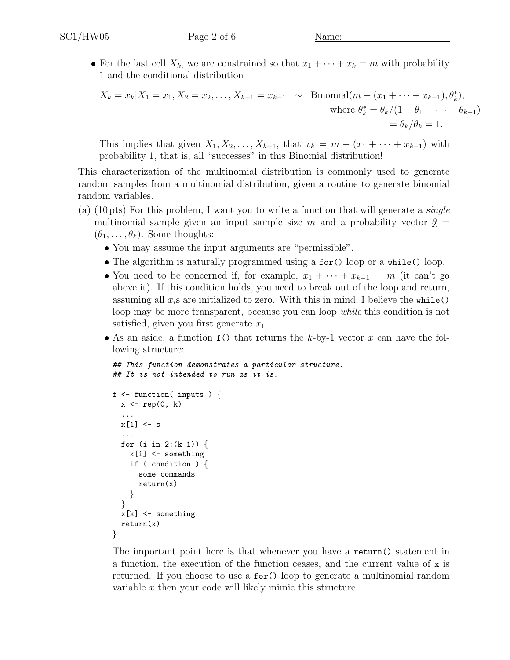• For the last cell  $X_k$ , we are constrained so that  $x_1 + \cdots + x_k = m$  with probability 1 and the conditional distribution

$$
X_k = x_k | X_1 = x_1, X_2 = x_2, \dots, X_{k-1} = x_{k-1} \sim \text{Binomial}(m - (x_1 + \dots + x_{k-1}), \theta_k^*),
$$
  
\nwhere  $\theta_k^* = \theta_k / (1 - \theta_1 - \dots - \theta_{k-1})$   
\n $= \theta_k / \theta_k = 1.$ 

This implies that given  $X_1, X_2, \ldots, X_{k-1}$ , that  $x_k = m - (x_1 + \cdots + x_{k-1})$  with probability 1, that is, all "successes" in this Binomial distribution!

This characterization of the multinomial distribution is commonly used to generate random samples from a multinomial distribution, given a routine to generate binomial random variables.

- (a) (10 pts) For this problem, I want you to write a function that will generate a *single* multinomial sample given an input sample size m and a probability vector  $\ell$  $(\theta_1, \ldots, \theta_k)$ . Some thoughts:
	- You may assume the input arguments are "permissible".
	- The algorithm is naturally programmed using a for() loop or a while() loop.
	- You need to be concerned if, for example,  $x_1 + \cdots + x_{k-1} = m$  (it can't go above it). If this condition holds, you need to break out of the loop and return, assuming all  $x_i$ s are initialized to zero. With this in mind, I believe the while() loop may be more transparent, because you can loop while this condition is not satisfied, given you first generate  $x_1$ .
	- As an aside, a function  $f()$  that returns the k-by-1 vector x can have the following structure:

```
## This function demonstrates a particular structure.
## It is not intended to run as it is.
f \leftarrow function( inputs ) {
  x \leftarrow rep(0, k)...
  x[1] <- s
  ...
  for (i in 2:(k-1)) {
    x[i] <- something
```

```
if ( condition ) {
      some commands
      return(x)}
  }
 x[k] <- something
  return(x)
}
```
The important point here is that whenever you have a return() statement in a function, the execution of the function ceases, and the current value of  $x$  is returned. If you choose to use a for() loop to generate a multinomial random variable x then your code will likely mimic this structure.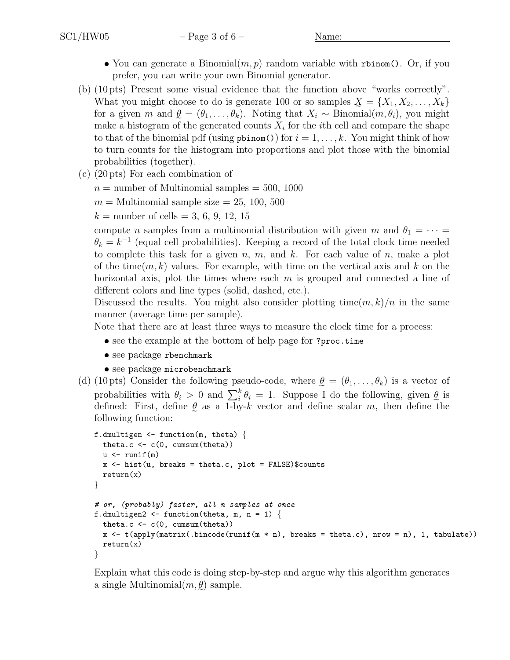- You can generate a Binomial $(m, p)$  random variable with rbinom(). Or, if you prefer, you can write your own Binomial generator.
- (b) (10 pts) Present some visual evidence that the function above "works correctly". What you might choose to do is generate 100 or so samples  $\mathcal{X} = \{X_1, X_2, \ldots, X_k\}$ for a given m and  $\ell = (\theta_1, \ldots, \theta_k)$ . Noting that  $X_i \sim \text{Binomial}(m, \theta_i)$ , you might make a histogram of the generated counts  $X_i$  for the *i*th cell and compare the shape to that of the binomial pdf (using  $pbinom()$  for  $i = 1, \ldots, k$ . You might think of how to turn counts for the histogram into proportions and plot those with the binomial probabilities (together).
- (c) (20 pts) For each combination of
	- $n =$  number of Multinomial samples  $= 500, 1000$
	- $m =$  Multinomial sample size  $= 25, 100, 500$
	- $k =$  number of cells = 3, 6, 9, 12, 15

compute n samples from a multinomial distribution with given m and  $\theta_1 = \cdots =$  $\theta_k = k^{-1}$  (equal cell probabilities). Keeping a record of the total clock time needed to complete this task for a given  $n, m$ , and  $k$ . For each value of  $n$ , make a plot of the time $(m, k)$  values. For example, with time on the vertical axis and k on the horizontal axis, plot the times where each  $m$  is grouped and connected a line of different colors and line types (solid, dashed, etc.).

Discussed the results. You might also consider plotting time $(m, k)/n$  in the same manner (average time per sample).

Note that there are at least three ways to measure the clock time for a process:

- see the example at the bottom of help page for ?proc.time
- see package rbenchmark
- see package microbenchmark
- (d) (10 pts) Consider the following pseudo-code, where  $\theta = (\theta_1, \dots, \theta_k)$  is a vector of probabilities with  $\theta_i > 0$  and  $\sum_i^k \theta_i = 1$ . Suppose I do the following, given  $\underline{\theta}$ e is defined: First, define  $\ell$  as a 1-by-k vector and define scalar m, then define the following function:

```
f.dmultigen \leq function(m, theta) {
  theta.c \leftarrow c(0, cumsum(theta))
  u \leftarrow \text{runif}(\texttt{m})x \leftarrow hist(u, breaks = theta.c, plot = FALSE)$counts
  return(x)
}
# or, (probably) faster, all n samples at once
f.dmultigen2 <- function(theta, m, n = 1) {
  theta.c \leftarrow c(0, cumsum(theta))
  x \leftarrow t(apply(matrix(.bincode(runif(m * n), breaks = theta.c), nrow = n), 1, tabulate))
  return(x)
}
```
Explain what this code is doing step-by-step and argue why this algorithm generates a single Multinomial $(m, \ell)$  sample.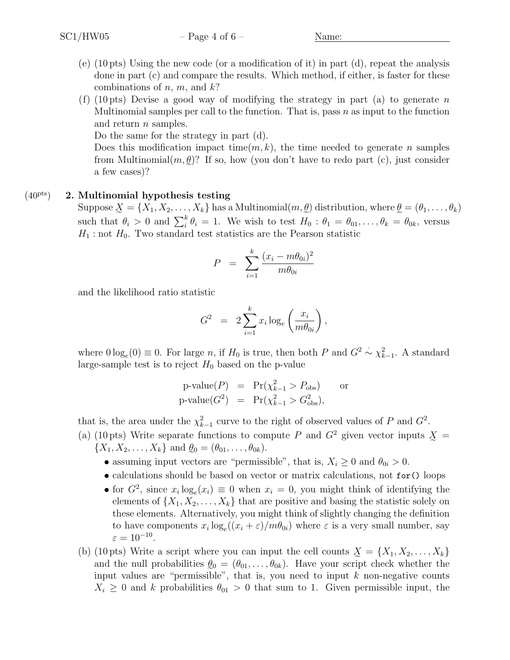- (e)  $(10 \text{ pts})$  Using the new code (or a modification of it) in part (d), repeat the analysis done in part (c) and compare the results. Which method, if either, is faster for these combinations of  $n, m$ , and  $k$ ?
- (f) (10 pts) Devise a good way of modifying the strategy in part (a) to generate n Multinomial samples per call to the function. That is, pass  $n$  as input to the function and return *n* samples.

Do the same for the strategy in part (d).

Does this modification impact time $(m, k)$ , the time needed to generate n samples from Multinomial $(m, \underline{\theta})$ ? If so, how (you don't have to redo part (c), just consider a few cases)?

## $(40<sup>pts</sup>)$  2. Multinomial hypothesis testing

Suppose  $\underline{X} = \{X_1, X_2, \ldots, X_k\}$  has a Multinomial $(m, \underline{\theta})$  distribution, where  $\underline{\theta} = (\theta_1, \ldots, \theta_k)$ such that  $\theta_i > 0$  and  $\sum_i^k \theta_i = 1$ . We wish to test  $H_0: \theta_1 = \theta_{01}, \ldots, \theta_k = \theta_{0k}$ , versus  $H_1$ : not  $H_0$ . Two standard test statistics are the Pearson statistic

$$
P = \sum_{i=1}^{k} \frac{(x_i - m\theta_{0i})^2}{m\theta_{0i}}
$$

and the likelihood ratio statistic

$$
G^2 = 2 \sum_{i=1}^k x_i \log_e \left( \frac{x_i}{m \theta_{0i}} \right),
$$

where  $0 \log_e(0) \equiv 0$ . For large n, if  $H_0$  is true, then both P and  $G^2 \sim \chi^2_{k-1}$ . A standard large-sample test is to reject  $H_0$  based on the p-value

$$
\begin{array}{rcl}\n\text{p-value}(P) & = & \Pr(\chi_{k-1}^2 > P_{\text{obs}}) \\
\text{p-value}(G^2) & = & \Pr(\chi_{k-1}^2 > G_{\text{obs}}^2),\n\end{array}\n\quad \text{or} \quad
$$

that is, the area under the  $\chi_{k-1}^2$  curve to the right of observed values of P and  $G^2$ .

- (a) (10 pts) Write separate functions to compute P and  $G<sup>2</sup>$  given vector inputs  $\chi$  =  $\{X_1, X_2, \ldots, X_k\}$  and  $\ell_0 = (\theta_{01}, \ldots, \theta_{0k}).$ 
	- assuming input vectors are "permissible", that is,  $X_i \geq 0$  and  $\theta_{0i} > 0$ .
	- calculations should be based on vector or matrix calculations, not for() loops
	- for  $G^2$ , since  $x_i \log_e(x_i) \equiv 0$  when  $x_i = 0$ , you might think of identifying the elements of  $\{X_1, X_2, \ldots, X_k\}$  that are positive and basing the statistic solely on these elements. Alternatively, you might think of slightly changing the definition to have components  $x_i \log_e((x_i + \varepsilon)/m\theta_{0i})$  where  $\varepsilon$  is a very small number, say  $\varepsilon = 10^{-10}.$
- (b) (10 pts) Write a script where you can input the cell counts  $X = \{X_1, X_2, \ldots, X_k\}$ and the null probabilities  $\ell_0 = (\theta_{01}, \ldots, \theta_{0k})$ . Have your script check whether the input values are "permissible", that is, you need to input  $k$  non-negative counts  $X_i \geq 0$  and k probabilities  $\theta_{01} > 0$  that sum to 1. Given permissible input, the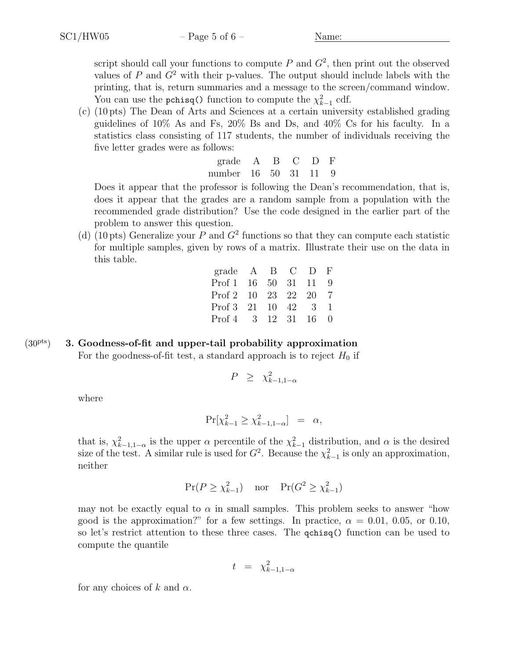script should call your functions to compute  $P$  and  $G^2$ , then print out the observed values of  $P$  and  $G<sup>2</sup>$  with their p-values. The output should include labels with the printing, that is, return summaries and a message to the screen/command window. You can use the pchisq() function to compute the  $\chi^2_{k-1}$  cdf.

(c) (10 pts) The Dean of Arts and Sciences at a certain university established grading guidelines of 10% As and Fs, 20% Bs and Ds, and 40% Cs for his faculty. In a statistics class consisting of 117 students, the number of individuals receiving the five letter grades were as follows:

| grade A B            |  | C D F |  |
|----------------------|--|-------|--|
| number 16 50 31 11 9 |  |       |  |

Does it appear that the professor is following the Dean's recommendation, that is, does it appear that the grades are a random sample from a population with the recommended grade distribution? Use the code designed in the earlier part of the problem to answer this question.

(d) (10 pts) Generalize your P and  $G<sup>2</sup>$  functions so that they can compute each statistic for multiple samples, given by rows of a matrix. Illustrate their use on the data in this table.

| grade A B C D F      |  |  |  |
|----------------------|--|--|--|
| Prof 1 16 50 31 11 9 |  |  |  |
| Prof 2 10 23 22 20 7 |  |  |  |
| Prof 3 21 10 42 3 1  |  |  |  |
| Prof 4 3 12 31 16 0  |  |  |  |

## $(30<sup>pts</sup>)$  3. Goodness-of-fit and upper-tail probability approximation

For the goodness-of-fit test, a standard approach is to reject  $H_0$  if

$$
P \geq \chi^2_{k-1,1-\alpha}
$$

where

$$
\Pr[\chi_{k-1}^2 \ge \chi_{k-1,1-\alpha}^2] = \alpha,
$$

that is,  $\chi^2_{k-1,1-\alpha}$  is the upper  $\alpha$  percentile of the  $\chi^2_{k-1}$  distribution, and  $\alpha$  is the desired size of the test. A similar rule is used for  $G^2$ . Because the  $\chi^2_{k-1}$  is only an approximation, neither

$$
\Pr(P \ge \chi_{k-1}^2) \quad \text{nor} \quad \Pr(G^2 \ge \chi_{k-1}^2)
$$

may not be exactly equal to  $\alpha$  in small samples. This problem seeks to answer "how good is the approximation?" for a few settings. In practice,  $\alpha = 0.01, 0.05$ , or 0.10, so let's restrict attention to these three cases. The **qchisq()** function can be used to compute the quantile

$$
t = \chi_{k-1,1-\alpha}^2
$$

for any choices of k and  $\alpha$ .